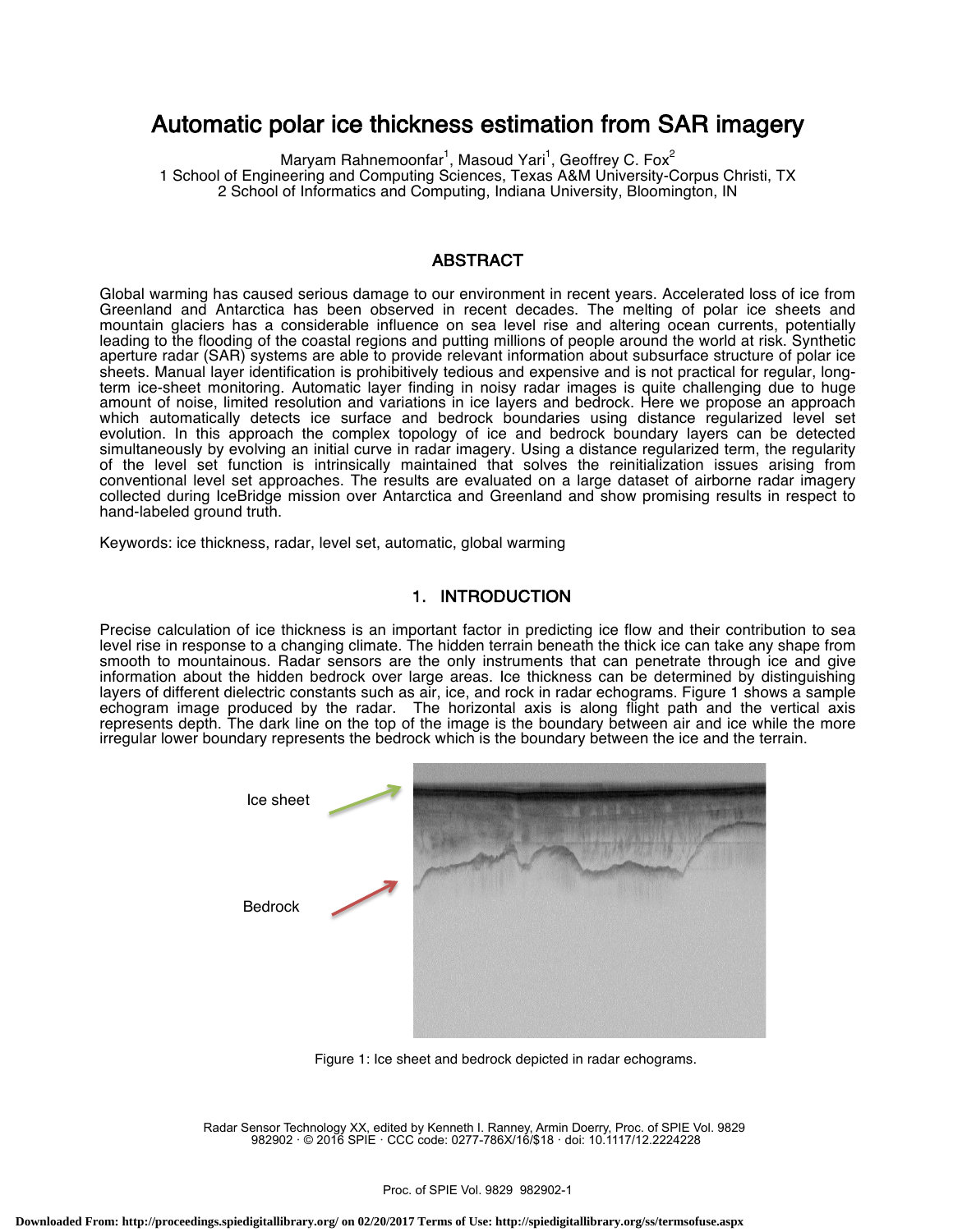# Automatic polar ice thickness estimation from SAR imagery

Maryam Rahnemoonfar<sup>1</sup>, Masoud Yari<sup>1</sup>, Geoffrey C. Fox<sup>2</sup> 1 School of Engineering and Computing Sciences, Texas A&M University-Corpus Christi, TX 2 School of Informatics and Computing, Indiana University, Bloomington, IN

## ABSTRACT

Global warming has caused serious damage to our environment in recent years. Accelerated loss of ice from Greenland and Antarctica has been observed in recent decades. The melting of polar ice sheets and mountain glaciers has a considerable influence on sea level rise and altering ocean currents, potentially leading to the flooding of the coastal regions and putting millions of people around the world at risk. Synthetic aperture radar (SAR) systems are able to provide relevant information about subsurface structure of polar ice sheets. Manual layer identification is prohibitively tedious and expensive and is not practical for regular, longterm ice-sheet monitoring. Automatic layer finding in noisy radar images is quite challenging due to huge amount of noise, limited resolution and variations in ice layers and bedrock. Here we propose an approach which automatically detects ice surface and bedrock boundaries using distance regularized level set evolution. In this approach the complex topology of ice and bedrock boundary layers can be detected simultaneously by evolving an initial curve in radar imagery. Using a distance regularized term, the regularity of the level set function is intrinsically maintained that solves the reinitialization issues arising from conventional level set approaches. The results are evaluated on a large dataset of airborne radar imagery collected during IceBridge mission over Antarctica and Greenland and show promising results in respect to hand-labeled ground truth.

Keywords: ice thickness, radar, level set, automatic, global warming

## 1. INTRODUCTION

Precise calculation of ice thickness is an important factor in predicting ice flow and their contribution to sea level rise in response to a changing climate. The hidden terrain beneath the thick ice can take any shape from smooth to mountainous. Radar sensors are the only instruments that can penetrate through ice and give information about the hidden bedrock over large areas. Ice thickness can be determined by distinguishing layers of different dielectric constants such as air, ice, and rock in radar echograms. Figure 1 shows a sample echogram image produced by the radar. The horizontal axis is along flight path and the vertical axis represents depth. The dark line on the top of the image is the boundary between air and ice while the more irregular lower boundary represents the bedrock which is the boundary between the ice and the terrain.



Figure 1: Ice sheet and bedrock depicted in radar echograms.

Radar Sensor Technology XX, edited by Kenneth I. Ranney, Armin Doerry, Proc. of SPIE Vol. 9829 982902 · © 2016 SPIE · CCC code: 0277-786X/16/\$18 · doi: 10.1117/12.2224228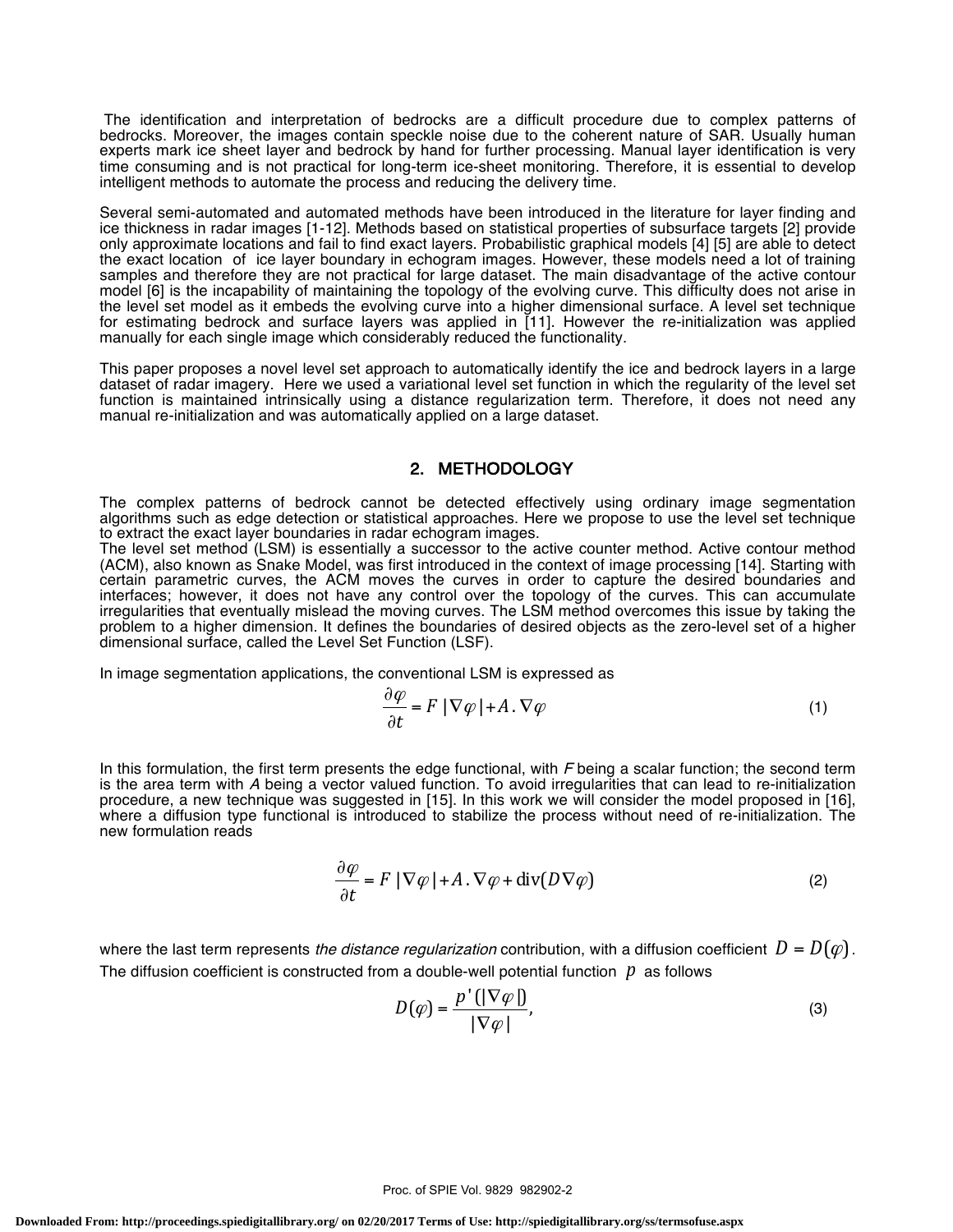The identification and interpretation of bedrocks are a difficult procedure due to complex patterns of bedrocks. Moreover, the images contain speckle noise due to the coherent nature of SAR. Usually human experts mark ice sheet layer and bedrock by hand for further processing. Manual layer identification is very time consuming and is not practical for long-term ice-sheet monitoring. Therefore, it is essential to develop intelligent methods to automate the process and reducing the delivery time.

Several semi-automated and automated methods have been introduced in the literature for layer finding and ice thickness in radar images [1-12]. Methods based on statistical properties of subsurface targets [2] provide only approximate locations and fail to find exact layers. Probabilistic graphical models [4] [5] are able to detect the exact location of ice layer boundary in echogram images. However, these models need a lot of training samples and therefore they are not practical for large dataset. The main disadvantage of the active contour model [6] is the incapability of maintaining the topology of the evolving curve. This difficulty does not arise in the level set model as it embeds the evolving curve into a higher dimensional surface. A level set technique for estimating bedrock and surface layers was applied in [11]. However the re-initialization was applied manually for each single image which considerably reduced the functionality.

This paper proposes a novel level set approach to automatically identify the ice and bedrock layers in a large dataset of radar imagery. Here we used a variational level set function in which the regularity of the level set function is maintained intrinsically using a distance regularization term. Therefore, it does not need any manual re-initialization and was automatically applied on a large dataset.

### 2. METHODOLOGY

The complex patterns of bedrock cannot be detected effectively using ordinary image segmentation algorithms such as edge detection or statistical approaches. Here we propose to use the level set technique to extract the exact layer boundaries in radar echogram images.

The level set method (LSM) is essentially a successor to the active counter method. Active contour method (ACM), also known as Snake Model, was first introduced in the context of image processing [14]. Starting with certain parametric curves, the ACM moves the curves in order to capture the desired boundaries and interfaces; however, it does not have any control over the topology of the curves. This can accumulate irregularities that eventually mislead the moving curves. The LSM method overcomes this issue by taking the problem to a higher dimension. It defines the boundaries of desired objects as the zero-level set of a higher dimensional surface, called the Level Set Function (LSF).

In image segmentation applications, the conventional LSM is expressed as

$$
\frac{\partial \varphi}{\partial t} = F \left| \nabla \varphi \right| + A \cdot \nabla \varphi \tag{1}
$$

In this formulation, the first term presents the edge functional, with F being a scalar function; the second term is the area term with A being a vector valued function. To avoid irregularities that can lead to re-initialization procedure, a new technique was suggested in [15]. In this work we will consider the model proposed in [16], where a diffusion type functional is introduced to stabilize the process without need of re-initialization. The new formulation reads

$$
\frac{\partial \varphi}{\partial t} = F \left| \nabla \varphi \right| + A \cdot \nabla \varphi + \text{div}(D \nabla \varphi)
$$
\n(2)

where the last term represents the distance regularization contribution, with a diffusion coefficient  $D = D(\varphi)$ . The diffusion coefficient is constructed from a double-well potential function *p* as follows

$$
D(\varphi) = \frac{p'(|\nabla \varphi|)}{|\nabla \varphi|},\tag{3}
$$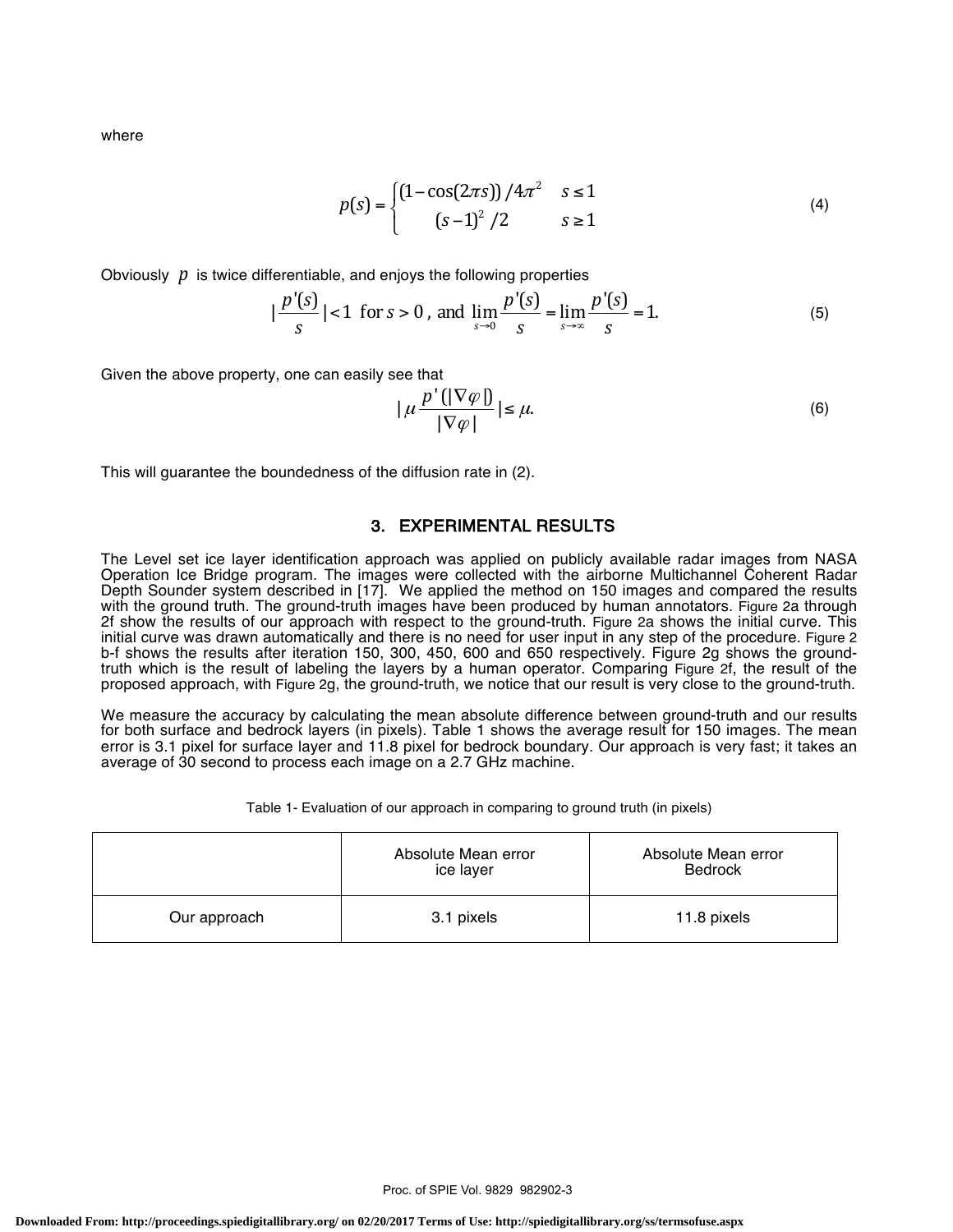where

$$
p(s) = \begin{cases} (1 - \cos(2\pi s)) / 4\pi^2 & s \le 1\\ (s - 1)^2 / 2 & s \ge 1 \end{cases}
$$
 (4)

Obviously *p* is twice differentiable, and enjoys the following properties

$$
\left|\frac{p'(s)}{s}\right| < 1 \text{ for } s > 0 \text{, and } \lim_{s \to 0} \frac{p'(s)}{s} = \lim_{s \to \infty} \frac{p'(s)}{s} = 1. \tag{5}
$$

Given the above property, one can easily see that

$$
|\mu \frac{p'(|\nabla \varphi|)}{|\nabla \varphi|}|\leq \mu. \tag{6}
$$

This will guarantee the boundedness of the diffusion rate in (2).

#### 3. EXPERIMENTAL RESULTS

The Level set ice layer identification approach was applied on publicly available radar images from NASA Operation Ice Bridge program. The images were collected with the airborne Multichannel Coherent Radar Depth Sounder system described in [17]. We applied the method on 150 images and compared the results with the ground truth. The ground-truth images have been produced by human annotators. Figure 2a through 2f show the results of our approach with respect to the ground-truth. Figure 2a shows the initial curve. This initial curve was drawn automatically and there is no need for user input in any step of the procedure. Figure 2 b-f shows the results after iteration 150, 300, 450, 600 and 650 respectively. Figure 2g shows the groundtruth which is the result of labeling the layers by a human operator. Comparing Figure 2f, the result of the proposed approach, with Figure 2g, the ground-truth, we notice that our result is very close to the ground-truth.

We measure the accuracy by calculating the mean absolute difference between ground-truth and our results for both surface and bedrock layers (in pixels). Table 1 shows the average result for 150 images. The mean error is 3.1 pixel for surface layer and 11.8 pixel for bedrock boundary. Our approach is very fast; it takes an average of 30 second to process each image on a 2.7 GHz machine.

|              | Absolute Mean error<br>ice layer | Absolute Mean error<br><b>Bedrock</b> |
|--------------|----------------------------------|---------------------------------------|
| Our approach | 3.1 pixels                       | 11.8 pixels                           |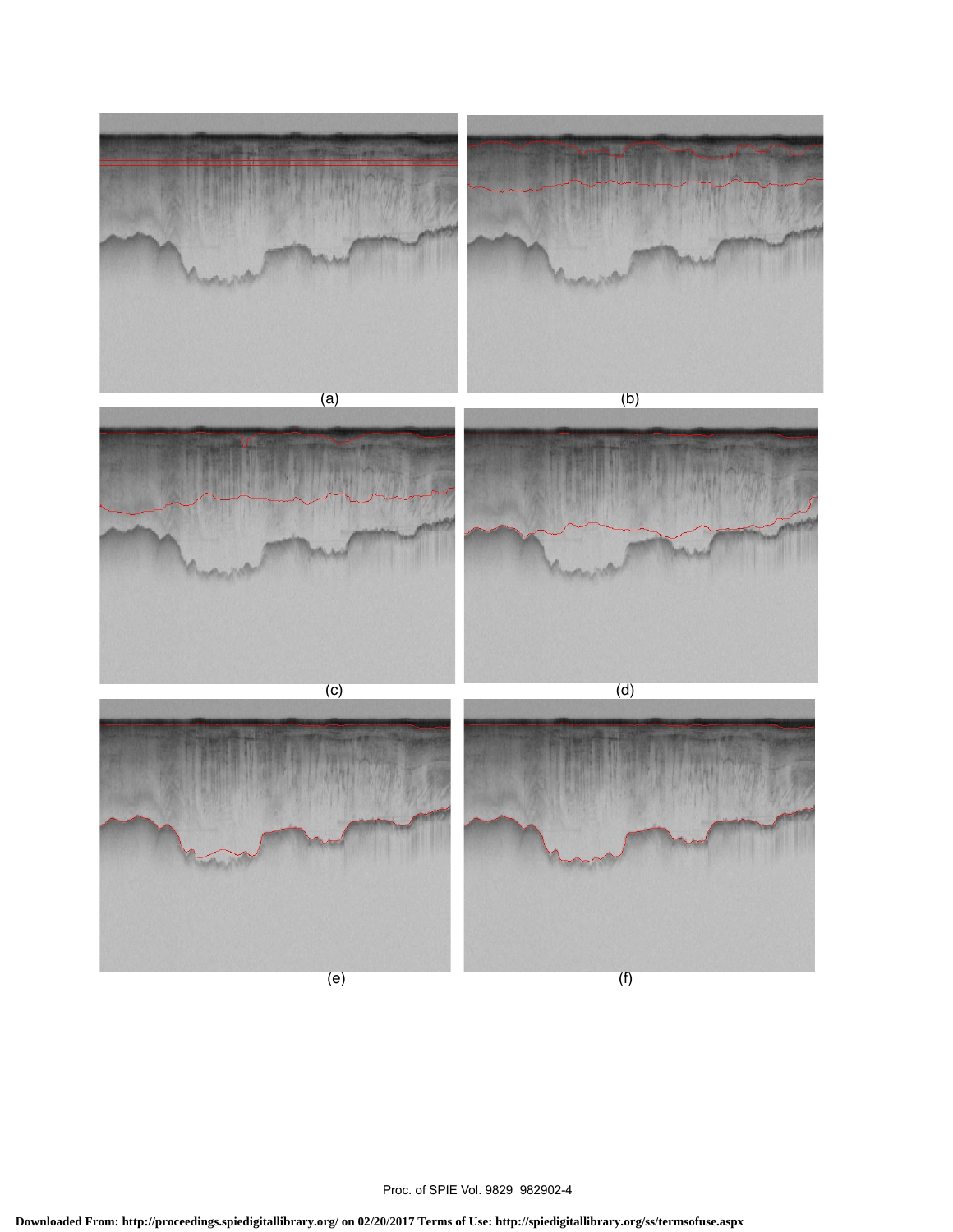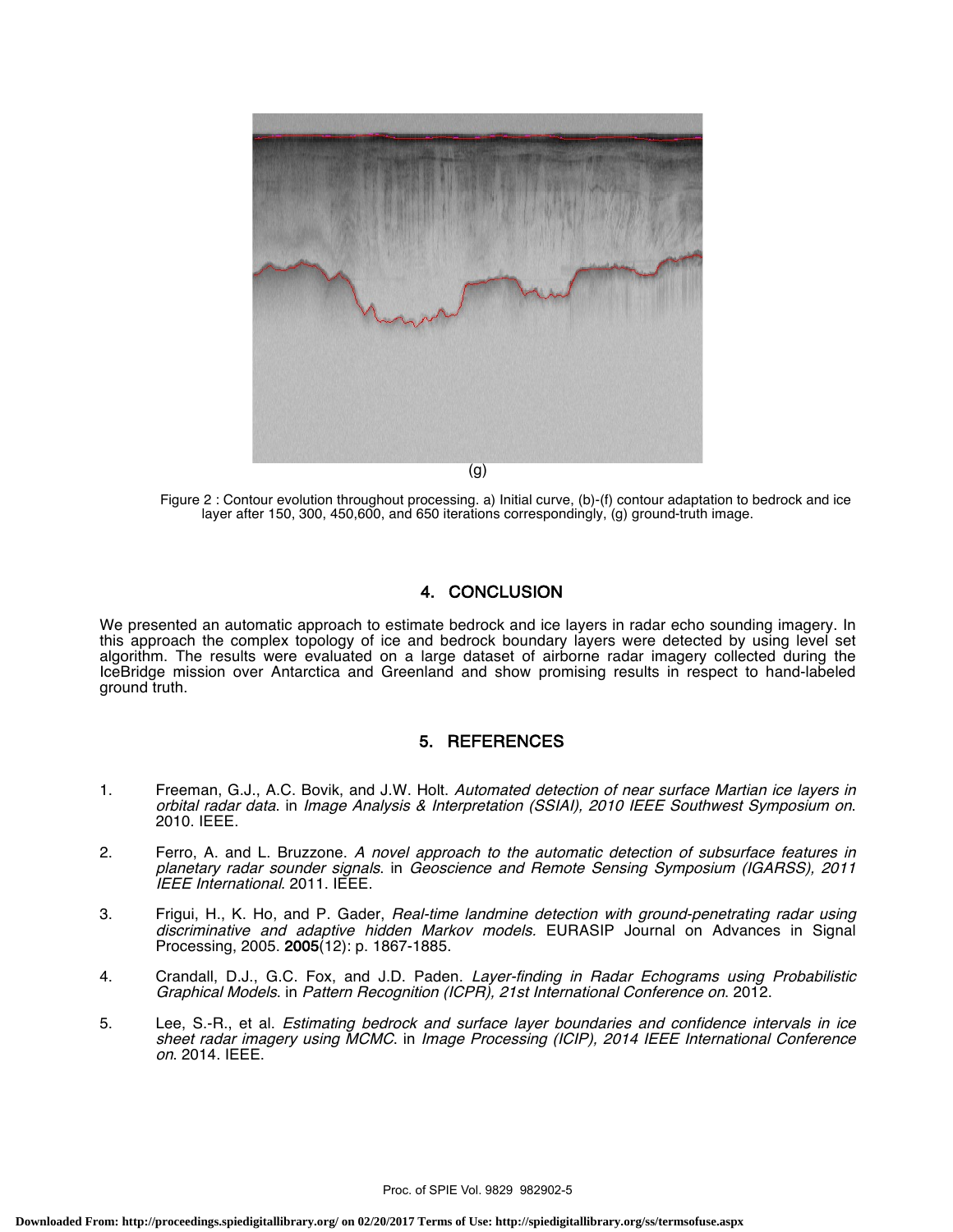

Figure 2 : Contour evolution throughout processing. a) Initial curve, (b)-(f) contour adaptation to bedrock and ice layer after 150, 300, 450,600, and 650 iterations correspondingly, (g) ground-truth image.

## 4. CONCLUSION

We presented an automatic approach to estimate bedrock and ice layers in radar echo sounding imagery. In this approach the complex topology of ice and bedrock boundary layers were detected by using level set algorithm. The results were evaluated on a large dataset of airborne radar imagery collected during the IceBridge mission over Antarctica and Greenland and show promising results in respect to hand-labeled ground truth.

## 5. REFERENCES

- 1. Freeman, G.J., A.C. Bovik, and J.W. Holt. Automated detection of near surface Martian ice layers in orbital radar data. in Image Analysis & Interpretation (SSIAI), 2010 IEEE Southwest Symposium on.<br>2010. IEEE.
- 2. Ferro, A. and L. Bruzzone. A novel approach to the automatic detection of subsurface features in planetary radar sounder signals. in Geoscience and Remote Sensing Symposium (IGARSS), 2011 IEEE International. 2011. IEEE.
- 3. Frigui, H., K. Ho, and P. Gader, Real-time landmine detection with ground-penetrating radar using discriminative and adaptive hidden Markov models. EURASIP Journal on Advances in Signal Processing, 2005. 2005(12): p. 1867-1885.
- 4. Crandall, D.J., G.C. Fox, and J.D. Paden. Layer-finding in Radar Echograms using Probabilistic Graphical Models. in Pattern Recognition (ICPR), 21st International Conference on. 2012.
- 5. Lee, S.-R., et al. Estimating bedrock and surface layer boundaries and confidence intervals in ice sheet radar imagery using MCMC. in Image Processing (ICIP), 2014 IEEE International Conference on. 2014. IEEE.